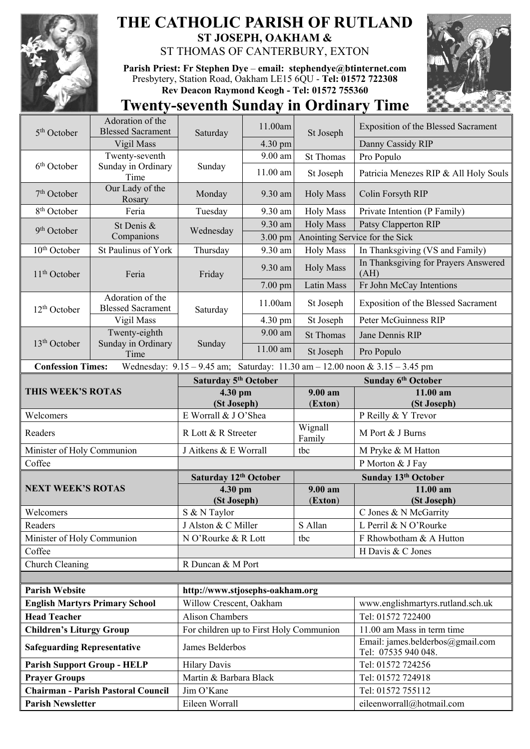

## **THE CATHOLIC PARISH OF RUTLAND ST JOSEPH, OAKHAM &**  ST THOMAS OF CANTERBURY, EXTON

**Parish Priest: Fr Stephen Dye** – **[email: stephendye@btinternet.com](mailto:email:%20%20stephendye@btinternet.com)** Presbytery, Station Road, Oakham LE15 6QU - **Tel: 01572 722308 Rev Deacon Raymond Keogh - Tel: 01572 755360**



## **Twenty-seventh Sunday in Ordinary Time**

| 5 <sup>th</sup> October                                                                                 | Adoration of the<br><b>Blessed Sacrament</b> | Saturday                                                   | 11.00am    | St Joseph          | <b>Exposition of the Blessed Sacrament</b>              |  |
|---------------------------------------------------------------------------------------------------------|----------------------------------------------|------------------------------------------------------------|------------|--------------------|---------------------------------------------------------|--|
|                                                                                                         | Vigil Mass                                   |                                                            | 4.30 pm    |                    | Danny Cassidy RIP                                       |  |
|                                                                                                         | Twenty-seventh                               | Sunday                                                     | 9.00 am    | <b>St Thomas</b>   | Pro Populo                                              |  |
| 6 <sup>th</sup> October                                                                                 | Sunday in Ordinary<br>Time                   |                                                            | 11.00 am   | St Joseph          | Patricia Menezes RIP & All Holy Souls                   |  |
| $7th$ October                                                                                           | Our Lady of the<br>Rosary                    | Monday                                                     | 9.30 am    | <b>Holy Mass</b>   | Colin Forsyth RIP                                       |  |
| 8 <sup>th</sup> October                                                                                 | Feria                                        | Tuesday                                                    | 9.30 am    | <b>Holy Mass</b>   | Private Intention (P Family)                            |  |
| 9 <sup>th</sup> October                                                                                 | St Denis &<br>Companions                     | Wednesday                                                  | 9.30 am    | <b>Holy Mass</b>   | Patsy Clapperton RIP                                    |  |
|                                                                                                         |                                              |                                                            | 3.00 pm    |                    | Anointing Service for the Sick                          |  |
| 10 <sup>th</sup> October                                                                                | St Paulinus of York                          | Thursday                                                   | 9.30 am    | <b>Holy Mass</b>   | In Thanksgiving (VS and Family)                         |  |
| $11th$ October                                                                                          | Feria                                        | Friday                                                     | 9.30 am    | <b>Holy Mass</b>   | In Thanksgiving for Prayers Answered<br>(AH)            |  |
|                                                                                                         |                                              |                                                            | 7.00 pm    | Latin Mass         | Fr John McCay Intentions                                |  |
| 12 <sup>th</sup> October                                                                                | Adoration of the<br><b>Blessed Sacrament</b> | Saturday                                                   | 11.00am    | St Joseph          | Exposition of the Blessed Sacrament                     |  |
|                                                                                                         | Vigil Mass                                   |                                                            | 4.30 pm    | St Joseph          | Peter McGuinness RIP                                    |  |
| 13 <sup>th</sup> October                                                                                | Twenty-eighth<br>Sunday in Ordinary          | Sunday                                                     | 9.00 am    | <b>St Thomas</b>   | Jane Dennis RIP                                         |  |
|                                                                                                         | Time                                         |                                                            | $11.00$ am | St Joseph          | Pro Populo                                              |  |
| Wednesday: 9.15 - 9.45 am; Saturday: 11.30 am - 12.00 noon & 3.15 - 3.45 pm<br><b>Confession Times:</b> |                                              |                                                            |            |                    |                                                         |  |
| THIS WEEK'S ROTAS                                                                                       |                                              | Saturday 5 <sup>th</sup> October                           |            |                    | Sunday 6th October                                      |  |
|                                                                                                         |                                              | 4.30 pm<br>(St Joseph)                                     |            | 9.00 am<br>(Exton) | 11.00 am<br>(St Joseph)                                 |  |
| Welcomers                                                                                               |                                              | E Worrall & J O'Shea                                       |            |                    | P Reilly & Y Trevor                                     |  |
| Readers                                                                                                 |                                              | R Lott & R Streeter                                        |            |                    |                                                         |  |
|                                                                                                         |                                              |                                                            |            | Wignall            | M Port & J Burns                                        |  |
| Minister of Holy Communion                                                                              |                                              | J Aitkens & E Worrall                                      |            | Family<br>tbc      | M Pryke & M Hatton                                      |  |
| Coffee                                                                                                  |                                              |                                                            |            |                    | P Morton & J Fay                                        |  |
|                                                                                                         |                                              | Saturday 12th October                                      |            |                    | Sunday 13th October                                     |  |
| <b>NEXT WEEK'S ROTAS</b>                                                                                |                                              | 4.30 pm                                                    |            | $9.00 a$ m         | 11.00 am                                                |  |
|                                                                                                         |                                              | (St Joseph)                                                |            | (Exton)            | (St Joseph)                                             |  |
| Welcomers                                                                                               |                                              | S & N Taylor                                               |            |                    | C Jones & N McGarrity                                   |  |
| Readers                                                                                                 |                                              | J Alston & C Miller                                        |            | S Allan            | L Perril & N O'Rourke                                   |  |
| Minister of Holy Communion                                                                              |                                              | N O'Rourke & R Lott                                        |            | tbc                | F Rhowbotham & A Hutton                                 |  |
| Coffee                                                                                                  |                                              |                                                            |            |                    | H Davis & C Jones                                       |  |
| Church Cleaning                                                                                         |                                              | R Duncan & M Port                                          |            |                    |                                                         |  |
| <b>Parish Website</b>                                                                                   |                                              |                                                            |            |                    |                                                         |  |
|                                                                                                         | <b>English Martyrs Primary School</b>        | http://www.stjosephs-oakham.org<br>Willow Crescent, Oakham |            |                    | www.englishmartyrs.rutland.sch.uk                       |  |
| <b>Head Teacher</b>                                                                                     |                                              | <b>Alison Chambers</b>                                     |            |                    | Tel: 01572 722400                                       |  |
| <b>Children's Liturgy Group</b>                                                                         |                                              | For children up to First Holy Communion                    |            |                    | 11.00 am Mass in term time                              |  |
| <b>Safeguarding Representative</b>                                                                      |                                              | James Belderbos                                            |            |                    | Email: james.belderbos@gmail.com<br>Tel: 07535 940 048. |  |
| <b>Parish Support Group - HELP</b>                                                                      |                                              | <b>Hilary Davis</b>                                        |            |                    | Tel: 01572 724256                                       |  |
| <b>Prayer Groups</b>                                                                                    |                                              | Martin & Barbara Black                                     |            |                    | Tel: 01572 724918                                       |  |
| <b>Parish Newsletter</b>                                                                                | <b>Chairman - Parish Pastoral Council</b>    | Jim O'Kane<br>Eileen Worrall                               |            |                    | Tel: 01572 755112<br>eileenworrall@hotmail.com          |  |